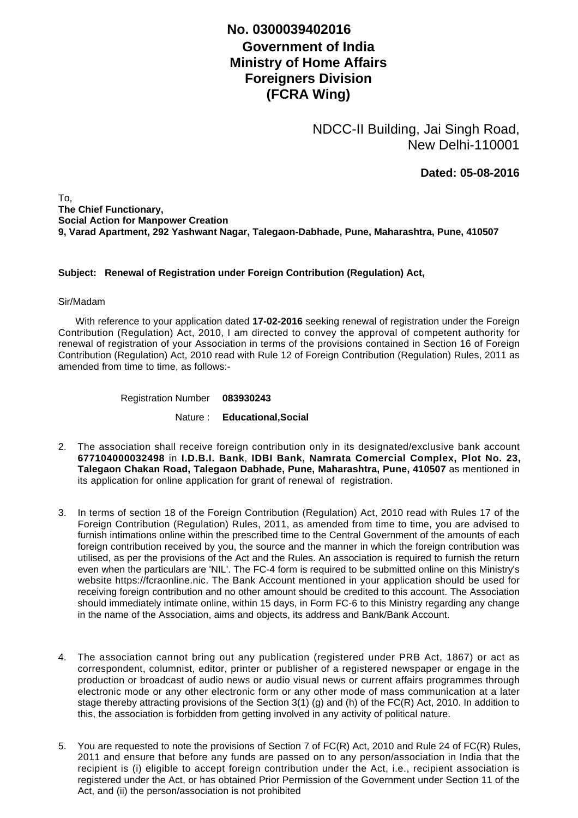## **Government of India Ministry of Home Affairs Foreigners Division (FCRA Wing) No. 0300039402016**

NDCC-II Building, Jai Singh Road, New Delhi-110001

**Dated: 05-08-2016**

To, **The Chief Functionary, Social Action for Manpower Creation 9, Varad Apartment, 292 Yashwant Nagar, Talegaon-Dabhade, Pune, Maharashtra, Pune, 410507**

## **Subject: Renewal of Registration under Foreign Contribution (Regulation) Act,**

## Sir/Madam

 With reference to your application dated **17-02-2016** seeking renewal of registration under the Foreign Contribution (Regulation) Act, 2010, I am directed to convey the approval of competent authority for renewal of registration of your Association in terms of the provisions contained in Section 16 of Foreign Contribution (Regulation) Act, 2010 read with Rule 12 of Foreign Contribution (Regulation) Rules, 2011 as amended from time to time, as follows:-

Registration Number **083930243**

Nature : **Educational,Social**

- The association shall receive foreign contribution only in its designated/exclusive bank account 2. **677104000032498** in **I.D.B.I. Bank**, **IDBI Bank, Namrata Comercial Complex, Plot No. 23, Talegaon Chakan Road, Talegaon Dabhade, Pune, Maharashtra, Pune, 410507** as mentioned in its application for online application for grant of renewal of registration.
- 3. In terms of section 18 of the Foreign Contribution (Regulation) Act, 2010 read with Rules 17 of the Foreign Contribution (Regulation) Rules, 2011, as amended from time to time, you are advised to furnish intimations online within the prescribed time to the Central Government of the amounts of each foreign contribution received by you, the source and the manner in which the foreign contribution was utilised, as per the provisions of the Act and the Rules. An association is required to furnish the return even when the particulars are 'NIL'. The FC-4 form is required to be submitted online on this Ministry's website https://fcraonline.nic. The Bank Account mentioned in your application should be used for receiving foreign contribution and no other amount should be credited to this account. The Association should immediately intimate online, within 15 days, in Form FC-6 to this Ministry regarding any change in the name of the Association, aims and objects, its address and Bank/Bank Account.
- 4. The association cannot bring out any publication (registered under PRB Act, 1867) or act as correspondent, columnist, editor, printer or publisher of a registered newspaper or engage in the production or broadcast of audio news or audio visual news or current affairs programmes through electronic mode or any other electronic form or any other mode of mass communication at a later stage thereby attracting provisions of the Section 3(1) (g) and (h) of the FC(R) Act, 2010. In addition to this, the association is forbidden from getting involved in any activity of political nature.
- 5. You are requested to note the provisions of Section 7 of FC(R) Act, 2010 and Rule 24 of FC(R) Rules, 2011 and ensure that before any funds are passed on to any person/association in India that the recipient is (i) eligible to accept foreign contribution under the Act, i.e., recipient association is registered under the Act, or has obtained Prior Permission of the Government under Section 11 of the Act, and (ii) the person/association is not prohibited